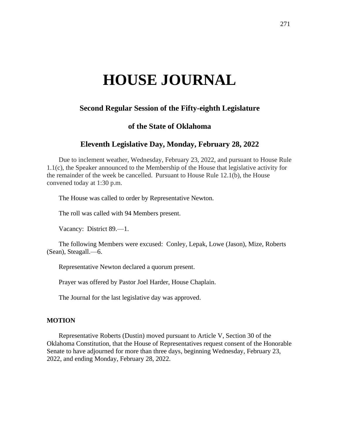# **HOUSE JOURNAL**

# **Second Regular Session of the Fifty-eighth Legislature**

# **of the State of Oklahoma**

# **Eleventh Legislative Day, Monday, February 28, 2022**

Due to inclement weather, Wednesday, February 23, 2022, and pursuant to House Rule 1.1(c), the Speaker announced to the Membership of the House that legislative activity for the remainder of the week be cancelled. Pursuant to House Rule 12.1(b), the House convened today at 1:30 p.m.

The House was called to order by Representative Newton.

The roll was called with 94 Members present.

Vacancy: District 89.—1.

The following Members were excused: Conley, Lepak, Lowe (Jason), Mize, Roberts (Sean), Steagall.—6.

Representative Newton declared a quorum present.

Prayer was offered by Pastor Joel Harder, House Chaplain.

The Journal for the last legislative day was approved.

#### **MOTION**

Representative Roberts (Dustin) moved pursuant to Article V, Section 30 of the Oklahoma Constitution, that the House of Representatives request consent of the Honorable Senate to have adjourned for more than three days, beginning Wednesday, February 23, 2022, and ending Monday, February 28, 2022.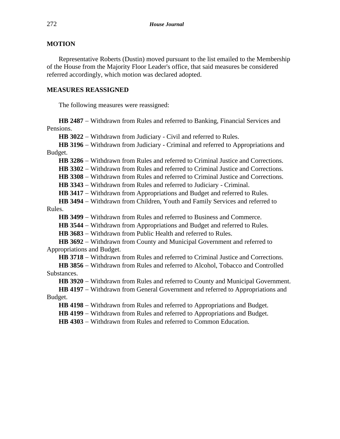## **MOTION**

Representative Roberts (Dustin) moved pursuant to the list emailed to the Membership of the House from the Majority Floor Leader's office, that said measures be considered referred accordingly, which motion was declared adopted.

### **MEASURES REASSIGNED**

The following measures were reassigned:

**HB 2487** − Withdrawn from Rules and referred to Banking, Financial Services and Pensions.

**HB 3022** − Withdrawn from Judiciary - Civil and referred to Rules.

**HB 3196** − Withdrawn from Judiciary - Criminal and referred to Appropriations and Budget.

**HB 3286** − Withdrawn from Rules and referred to Criminal Justice and Corrections.

**HB 3302** − Withdrawn from Rules and referred to Criminal Justice and Corrections.

**HB 3308** − Withdrawn from Rules and referred to Criminal Justice and Corrections.

**HB 3343** − Withdrawn from Rules and referred to Judiciary - Criminal.

**HB 3417** − Withdrawn from Appropriations and Budget and referred to Rules.

**HB 3494** − Withdrawn from Children, Youth and Family Services and referred to Rules.

HB 3499 − Withdrawn from Rules and referred to Business and Commerce.

HB 3544 − Withdrawn from Appropriations and Budget and referred to Rules.

**HB 3683** − Withdrawn from Public Health and referred to Rules.

**HB 3692** − Withdrawn from County and Municipal Government and referred to Appropriations and Budget.

**HB 3718** − Withdrawn from Rules and referred to Criminal Justice and Corrections.

**HB 3856** − Withdrawn from Rules and referred to Alcohol, Tobacco and Controlled Substances.

**HB 3920** − Withdrawn from Rules and referred to County and Municipal Government.

**HB 4197** − Withdrawn from General Government and referred to Appropriations and Budget.

**HB 4198** − Withdrawn from Rules and referred to Appropriations and Budget.

**HB 4199** − Withdrawn from Rules and referred to Appropriations and Budget.

**HB 4303** − Withdrawn from Rules and referred to Common Education.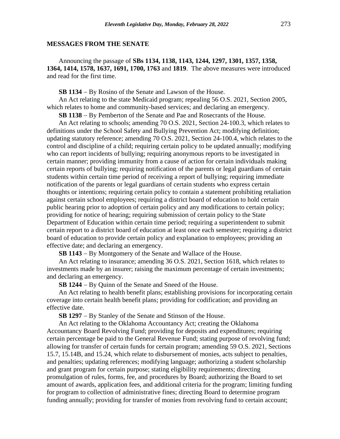#### **MESSAGES FROM THE SENATE**

Announcing the passage of **SBs 1134, 1138, 1143, 1244, 1297, 1301, 1357, 1358, 1364, 1414, 1578, 1637, 1691, 1700, 1763** and **1819**. The above measures were introduced and read for the first time.

**SB 1134** − By Rosino of the Senate and Lawson of the House.

An Act relating to the state Medicaid program; repealing 56 O.S. 2021, Section 2005, which relates to home and community-based services; and declaring an emergency.

**SB 1138** − By Pemberton of the Senate and Pae and Rosecrants of the House.

An Act relating to schools; amending 70 O.S. 2021, Section 24-100.3, which relates to definitions under the School Safety and Bullying Prevention Act; modifying definition; updating statutory reference; amending 70 O.S. 2021, Section 24-100.4, which relates to the control and discipline of a child; requiring certain policy to be updated annually; modifying who can report incidents of bullying; requiring anonymous reports to be investigated in certain manner; providing immunity from a cause of action for certain individuals making certain reports of bullying; requiring notification of the parents or legal guardians of certain students within certain time period of receiving a report of bullying; requiring immediate notification of the parents or legal guardians of certain students who express certain thoughts or intentions; requiring certain policy to contain a statement prohibiting retaliation against certain school employees; requiring a district board of education to hold certain public hearing prior to adoption of certain policy and any modifications to certain policy; providing for notice of hearing; requiring submission of certain policy to the State Department of Education within certain time period; requiring a superintendent to submit certain report to a district board of education at least once each semester; requiring a district board of education to provide certain policy and explanation to employees; providing an effective date; and declaring an emergency.

**SB 1143** − By Montgomery of the Senate and Wallace of the House.

An Act relating to insurance; amending 36 O.S. 2021, Section 1618, which relates to investments made by an insurer; raising the maximum percentage of certain investments; and declaring an emergency.

**SB 1244** − By Quinn of the Senate and Sneed of the House.

An Act relating to health benefit plans; establishing provisions for incorporating certain coverage into certain health benefit plans; providing for codification; and providing an effective date.

**SB 1297** − By Stanley of the Senate and Stinson of the House.

An Act relating to the Oklahoma Accountancy Act; creating the Oklahoma Accountancy Board Revolving Fund; providing for deposits and expenditures; requiring certain percentage be paid to the General Revenue Fund; stating purpose of revolving fund; allowing for transfer of certain funds for certain program; amending 59 O.S. 2021, Sections 15.7, 15.14B, and 15.24, which relate to disbursement of monies, acts subject to penalties, and penalties; updating references; modifying language; authorizing a student scholarship and grant program for certain purpose; stating eligibility requirements; directing promulgation of rules, forms, fee, and procedures by Board; authorizing the Board to set amount of awards, application fees, and additional criteria for the program; limiting funding for program to collection of administrative fines; directing Board to determine program funding annually; providing for transfer of monies from revolving fund to certain account;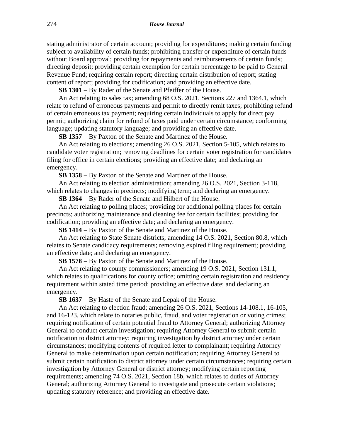stating administrator of certain account; providing for expenditures; making certain funding subject to availability of certain funds; prohibiting transfer or expenditure of certain funds without Board approval; providing for repayments and reimbursements of certain funds; directing deposit; providing certain exemption for certain percentage to be paid to General Revenue Fund; requiring certain report; directing certain distribution of report; stating content of report; providing for codification; and providing an effective date.

**SB 1301** − By Rader of the Senate and Pfeiffer of the House.

An Act relating to sales tax; amending 68 O.S. 2021, Sections 227 and 1364.1, which relate to refund of erroneous payments and permit to directly remit taxes; prohibiting refund of certain erroneous tax payment; requiring certain individuals to apply for direct pay permit; authorizing claim for refund of taxes paid under certain circumstance; conforming language; updating statutory language; and providing an effective date.

**SB 1357** − By Paxton of the Senate and Martinez of the House.

An Act relating to elections; amending 26 O.S. 2021, Section 5-105, which relates to candidate voter registration; removing deadlines for certain voter registration for candidates filing for office in certain elections; providing an effective date; and declaring an emergency.

**SB 1358** − By Paxton of the Senate and Martinez of the House.

An Act relating to election administration; amending 26 O.S. 2021, Section 3-118, which relates to changes in precincts; modifying term; and declaring an emergency.

**SB 1364** − By Rader of the Senate and Hilbert of the House.

An Act relating to polling places; providing for additional polling places for certain precincts; authorizing maintenance and cleaning fee for certain facilities; providing for codification; providing an effective date; and declaring an emergency.

**SB 1414** − By Paxton of the Senate and Martinez of the House.

An Act relating to State Senate districts; amending 14 O.S. 2021, Section 80.8, which relates to Senate candidacy requirements; removing expired filing requirement; providing an effective date; and declaring an emergency.

**SB 1578** − By Paxton of the Senate and Martinez of the House.

An Act relating to county commissioners; amending 19 O.S. 2021, Section 131.1, which relates to qualifications for county office; omitting certain registration and residency requirement within stated time period; providing an effective date; and declaring an emergency.

**SB 1637** − By Haste of the Senate and Lepak of the House.

An Act relating to election fraud; amending 26 O.S. 2021, Sections 14-108.1, 16-105, and 16-123, which relate to notaries public, fraud, and voter registration or voting crimes; requiring notification of certain potential fraud to Attorney General; authorizing Attorney General to conduct certain investigation; requiring Attorney General to submit certain notification to district attorney; requiring investigation by district attorney under certain circumstances; modifying contents of required letter to complainant; requiring Attorney General to make determination upon certain notification; requiring Attorney General to submit certain notification to district attorney under certain circumstances; requiring certain investigation by Attorney General or district attorney; modifying certain reporting requirements; amending 74 O.S. 2021, Section 18b, which relates to duties of Attorney General; authorizing Attorney General to investigate and prosecute certain violations; updating statutory reference; and providing an effective date.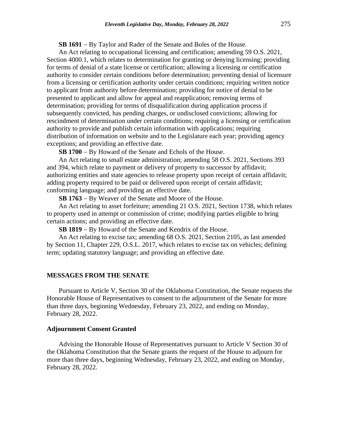**SB 1691** − By Taylor and Rader of the Senate and Boles of the House.

An Act relating to occupational licensing and certification; amending 59 O.S. 2021, Section 4000.1, which relates to determination for granting or denying licensing; providing for terms of denial of a state license or certification; allowing a licensing or certification authority to consider certain conditions before determination; preventing denial of licensure from a licensing or certification authority under certain conditions; requiring written notice to applicant from authority before determination; providing for notice of denial to be presented to applicant and allow for appeal and reapplication; removing terms of determination; providing for terms of disqualification during application process if subsequently convicted, has pending charges, or undisclosed convictions; allowing for rescindment of determination under certain conditions; requiring a licensing or certification authority to provide and publish certain information with applications; requiring distribution of information on website and to the Legislature each year; providing agency exceptions; and providing an effective date.

**SB 1700** − By Howard of the Senate and Echols of the House.

An Act relating to small estate administration; amending 58 O.S. 2021, Sections 393 and 394, which relate to payment or delivery of property to successor by affidavit; authorizing entities and state agencies to release property upon receipt of certain affidavit; adding property required to be paid or delivered upon receipt of certain affidavit; conforming language; and providing an effective date.

**SB 1763** − By Weaver of the Senate and Moore of the House.

An Act relating to asset forfeiture; amending 21 O.S. 2021, Section 1738, which relates to property used in attempt or commission of crime; modifying parties eligible to bring certain actions; and providing an effective date.

**SB 1819** − By Howard of the Senate and Kendrix of the House.

An Act relating to excise tax; amending 68 O.S. 2021, Section 2105, as last amended by Section 11, Chapter 229, O.S.L. 2017, which relates to excise tax on vehicles; defining term; updating statutory language; and providing an effective date.

#### **MESSAGES FROM THE SENATE**

Pursuant to Article V, Section 30 of the Oklahoma Constitution, the Senate requests the Honorable House of Representatives to consent to the adjournment of the Senate for more than three days, beginning Wednesday, February 23, 2022, and ending on Monday, February 28, 2022.

#### **Adjournment Consent Granted**

Advising the Honorable House of Representatives pursuant to Article V Section 30 of the Oklahoma Constitution that the Senate grants the request of the House to adjourn for more than three days, beginning Wednesday, February 23, 2022, and ending on Monday, February 28, 2022.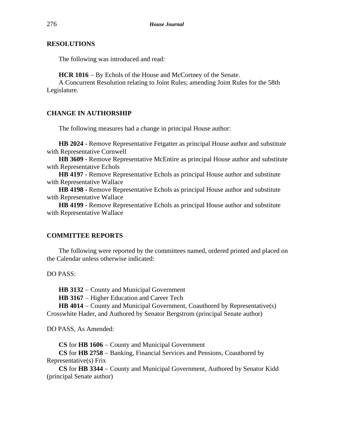# **RESOLUTIONS**

The following was introduced and read:

**HCR 1016** − By Echols of the House and McCortney of the Senate.

A Concurrent Resolution relating to Joint Rules; amending Joint Rules for the 58th Legislature.

# **CHANGE IN AUTHORSHIP**

The following measures had a change in principal House author:

**HB 2024 -** Remove Representative Fetgatter as principal House author and substitute with Representative Cornwell

**HB 3609 -** Remove Representative McEntire as principal House author and substitute with Representative Echols

**HB 4197 -** Remove Representative Echols as principal House author and substitute with Representative Wallace

**HB 4198 -** Remove Representative Echols as principal House author and substitute with Representative Wallace

**HB 4199 -** Remove Representative Echols as principal House author and substitute with Representative Wallace

# **COMMITTEE REPORTS**

The following were reported by the committees named, ordered printed and placed on the Calendar unless otherwise indicated:

DO PASS:

**HB 3132** − County and Municipal Government

**HB 3167** − Higher Education and Career Tech

**HB 4014** − County and Municipal Government, Coauthored by Representative(s) Crosswhite Hader, and Authored by Senator Bergstrom (principal Senate author)

DO PASS, As Amended:

**CS** for **HB 1606** − County and Municipal Government

**CS** for **HB 2758** − Banking, Financial Services and Pensions, Coauthored by Representative(s) Frix

**CS** for **HB 3344** − County and Municipal Government, Authored by Senator Kidd (principal Senate author)